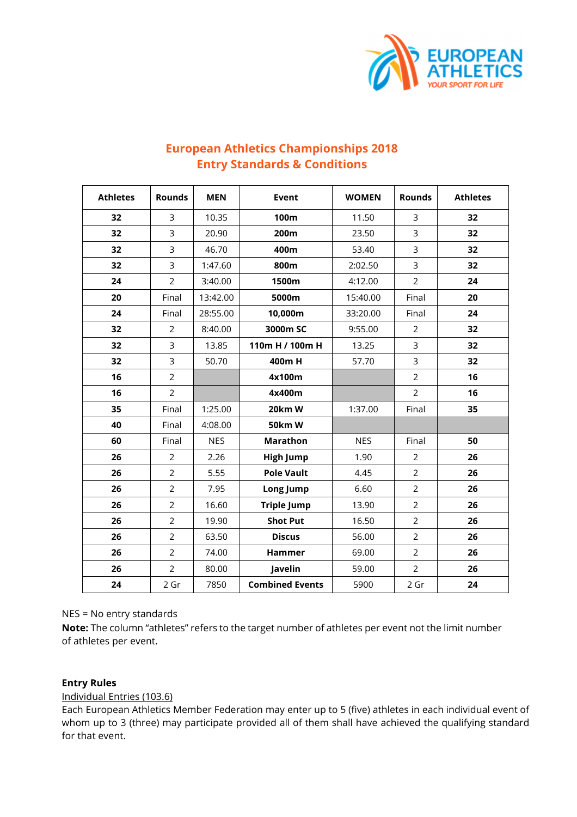

| <b>Athletes</b> | <b>Rounds</b>  | <b>MEN</b> | Event                  | <b>WOMEN</b> | <b>Rounds</b>  | <b>Athletes</b> |
|-----------------|----------------|------------|------------------------|--------------|----------------|-----------------|
| 32              | 3              | 10.35      | 100m                   | 11.50        | $\overline{3}$ | 32              |
| 32              | 3              | 20.90      | 200m                   | 23.50        | 3              | 32              |
| 32              | 3              | 46.70      | 400m                   | 53.40        | 3              | 32              |
| 32              | 3              | 1:47.60    | 800m                   | 2:02.50      | 3              | 32              |
| 24              | $\overline{2}$ | 3:40.00    | 1500m                  | 4:12.00      | $\overline{2}$ | 24              |
| 20              | Final          | 13:42.00   | 5000m                  | 15:40.00     | Final          | 20              |
| 24              | Final          | 28:55.00   | 10,000m                | 33:20.00     | Final          | 24              |
| 32              | $\overline{2}$ | 8:40.00    | 3000m SC               | 9:55.00      | $\overline{2}$ | 32              |
| 32              | 3              | 13.85      | 110m H / 100m H        | 13.25        | 3              | 32              |
| 32              | $\overline{3}$ | 50.70      | 400m H                 | 57.70        | 3              | 32              |
| 16              | $\overline{2}$ |            | 4x100m                 |              | $\overline{2}$ | 16              |
| 16              | $\overline{2}$ |            | 4x400m                 |              | $\overline{2}$ | 16              |
| 35              | Final          | 1:25.00    | 20km W                 | 1:37.00      | Final          | 35              |
| 40              | Final          | 4:08.00    | <b>50km W</b>          |              |                |                 |
| 60              | Final          | <b>NES</b> | <b>Marathon</b>        | <b>NES</b>   | Final          | 50              |
| 26              | 2              | 2.26       | <b>High Jump</b>       | 1.90         | $\overline{2}$ | 26              |
| 26              | $\overline{2}$ | 5.55       | <b>Pole Vault</b>      | 4.45         | $\overline{2}$ | 26              |
| 26              | $\overline{2}$ | 7.95       | Long Jump              | 6.60         | $\overline{2}$ | 26              |
| 26              | $\overline{2}$ | 16.60      | <b>Triple Jump</b>     | 13.90        | $\overline{2}$ | 26              |
| 26              | $\overline{2}$ | 19.90      | <b>Shot Put</b>        | 16.50        | $\overline{2}$ | 26              |
| 26              | $\overline{2}$ | 63.50      | <b>Discus</b>          | 56.00        | $\overline{2}$ | 26              |
| 26              | $\overline{2}$ | 74.00      | Hammer                 | 69.00        | $\overline{2}$ | 26              |
| 26              | $\overline{2}$ | 80.00      | Javelin                | 59.00        | $\overline{2}$ | 26              |
| 24              | 2 Gr           | 7850       | <b>Combined Events</b> | 5900         | 2 Gr           | 24              |

# **European Athletics Championships 2018 Entry Standards & Conditions**

NES = No entry standards

**Note:** The column "athletes" refers to the target number of athletes per event not the limit number of athletes per event.

# **Entry Rules**

Individual Entries (103.6)

Each European Athletics Member Federation may enter up to 5 (five) athletes in each individual event of whom up to 3 (three) may participate provided all of them shall have achieved the qualifying standard for that event.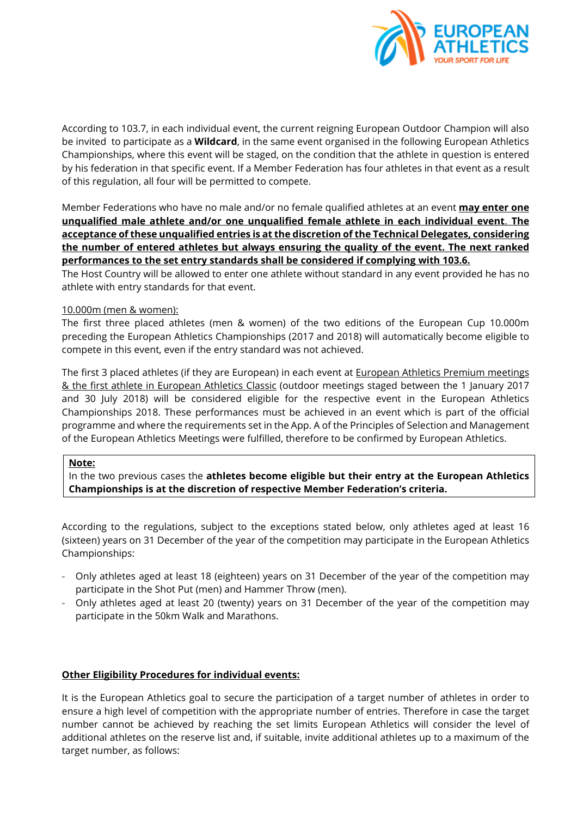

According to 103.7, in each individual event, the current reigning European Outdoor Champion will also be invited to participate as a **Wildcard**, in the same event organised in the following European Athletics Championships, where this event will be staged, on the condition that the athlete in question is entered by his federation in that specific event. If a Member Federation has four athletes in that event as a result of this regulation, all four will be permitted to compete.

Member Federations who have no male and/or no female qualified athletes at an event **may enter one unqualified male athlete and/or one unqualified female athlete in each individual event**. **The acceptance of these unqualified entries is at the discretion of the Technical Delegates, considering the number of entered athletes but always ensuring the quality of the event. The next ranked performances to the set entry standards shall be considered if complying with 103.6.** 

The Host Country will be allowed to enter one athlete without standard in any event provided he has no athlete with entry standards for that event.

## 10.000m (men & women):

The first three placed athletes (men & women) of the two editions of the European Cup 10.000m preceding the European Athletics Championships (2017 and 2018) will automatically become eligible to compete in this event, even if the entry standard was not achieved.

The first 3 placed athletes (if they are European) in each event at **European Athletics Premium meetings** & the first athlete in European Athletics Classic (outdoor meetings staged between the 1 January 2017 and 30 July 2018) will be considered eligible for the respective event in the European Athletics Championships 2018. These performances must be achieved in an event which is part of the official programme and where the requirements set in the App. A of the Principles of Selection and Management of the European Athletics Meetings were fulfilled, therefore to be confirmed by European Athletics.

### **Note:**

In the two previous cases the **athletes become eligible but their entry at the European Athletics Championships is at the discretion of respective Member Federation's criteria.**

According to the regulations, subject to the exceptions stated below, only athletes aged at least 16 (sixteen) years on 31 December of the year of the competition may participate in the European Athletics Championships:

- Only athletes aged at least 18 (eighteen) years on 31 December of the year of the competition may participate in the Shot Put (men) and Hammer Throw (men).
- Only athletes aged at least 20 (twenty) years on 31 December of the year of the competition may participate in the 50km Walk and Marathons.

### **Other Eligibility Procedures for individual events:**

It is the European Athletics goal to secure the participation of a target number of athletes in order to ensure a high level of competition with the appropriate number of entries. Therefore in case the target number cannot be achieved by reaching the set limits European Athletics will consider the level of additional athletes on the reserve list and, if suitable, invite additional athletes up to a maximum of the target number, as follows: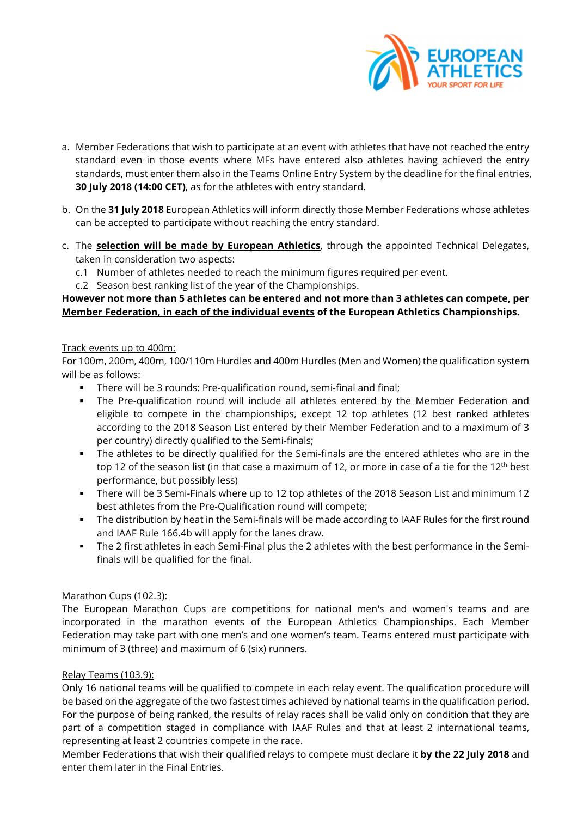

- a. Member Federations that wish to participate at an event with athletes that have not reached the entry standard even in those events where MFs have entered also athletes having achieved the entry standards, must enter them also in the Teams Online Entry System by the deadline for the final entries, **30 July 2018 (14:00 CET)**, as for the athletes with entry standard.
- b. On the **31 July 2018** European Athletics will inform directly those Member Federations whose athletes can be accepted to participate without reaching the entry standard.
- c. The **selection will be made by European Athletics**, through the appointed Technical Delegates, taken in consideration two aspects:
	- c.1 Number of athletes needed to reach the minimum figures required per event.
	- c.2 Season best ranking list of the year of the Championships.

# **However not more than 5 athletes can be entered and not more than 3 athletes can compete, per Member Federation, in each of the individual events of the European Athletics Championships.**

# Track events up to 400m:

For 100m, 200m, 400m, 100/110m Hurdles and 400m Hurdles (Men and Women) the qualification system will be as follows:

- There will be 3 rounds: Pre-qualification round, semi-final and final;
- The Pre-qualification round will include all athletes entered by the Member Federation and eligible to compete in the championships, except 12 top athletes (12 best ranked athletes according to the 2018 Season List entered by their Member Federation and to a maximum of 3 per country) directly qualified to the Semi-finals;
- The athletes to be directly qualified for the Semi-finals are the entered athletes who are in the top 12 of the season list (in that case a maximum of 12, or more in case of a tie for the 12<sup>th</sup> best performance, but possibly less)
- There will be 3 Semi-Finals where up to 12 top athletes of the 2018 Season List and minimum 12 best athletes from the Pre-Qualification round will compete;
- The distribution by heat in the Semi-finals will be made according to IAAF Rules for the first round and IAAF Rule 166.4b will apply for the lanes draw.
- The 2 first athletes in each Semi-Final plus the 2 athletes with the best performance in the Semifinals will be qualified for the final.

# Marathon Cups (102.3):

The European Marathon Cups are competitions for national men's and women's teams and are incorporated in the marathon events of the European Athletics Championships. Each Member Federation may take part with one men's and one women's team. Teams entered must participate with minimum of 3 (three) and maximum of 6 (six) runners.

# Relay Teams (103.9):

Only 16 national teams will be qualified to compete in each relay event. The qualification procedure will be based on the aggregate of the two fastest times achieved by national teams in the qualification period. For the purpose of being ranked, the results of relay races shall be valid only on condition that they are part of a competition staged in compliance with IAAF Rules and that at least 2 international teams, representing at least 2 countries compete in the race.

Member Federations that wish their qualified relays to compete must declare it **by the 22 July 2018** and enter them later in the Final Entries.